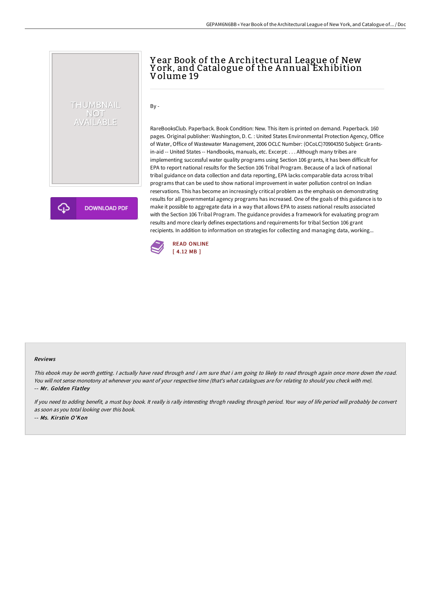# THUMBNAIL NOT<br>AVAILABLE

**DOWNLOAD PDF** 

## Y ear Book of the A rchitectural League of New Y ork, and Catalogue of the A nnual Exhibition Volume 19

 $By -$ 

RareBooksClub. Paperback. Book Condition: New. This item is printed on demand. Paperback. 160 pages. Original publisher: Washington, D. C. : United States Environmental Protection Agency, Office of Water, Office of Wastewater Management, 2006 OCLC Number: (OCoLC)70904350 Subject: Grantsin-aid -- United States -- Handbooks, manuals, etc. Excerpt: . . . Although many tribes are implementing successful water quality programs using Section 106 grants, it has been difficult for EPA to report national results for the Section 106 Tribal Program. Because of a lack of national tribal guidance on data collection and data reporting, EPA lacks comparable data across tribal programs that can be used to show national improvement in water pollution control on Indian reservations. This has become an increasingly critical problem as the emphasis on demonstrating results for all governmental agency programs has increased. One of the goals of this guidance is to make it possible to aggregate data in a way that allows EPA to assess national results associated with the Section 106 Tribal Program. The guidance provides a framework for evaluating program results and more clearly defines expectations and requirements for tribal Section 106 grant recipients. In addition to information on strategies for collecting and managing data, working...



#### Reviews

This ebook may be worth getting. I actually have read through and i am sure that i am going to likely to read through again once more down the road. You will not sense monotony at whenever you want of your respective time (that's what catalogues are for relating to should you check with me). -- Mr. Golden Flatley

If you need to adding benefit, <sup>a</sup> must buy book. It really is rally interesting throgh reading through period. Your way of life period will probably be convert as soon as you total looking over this book. -- Ms. Kir stin O'Kon